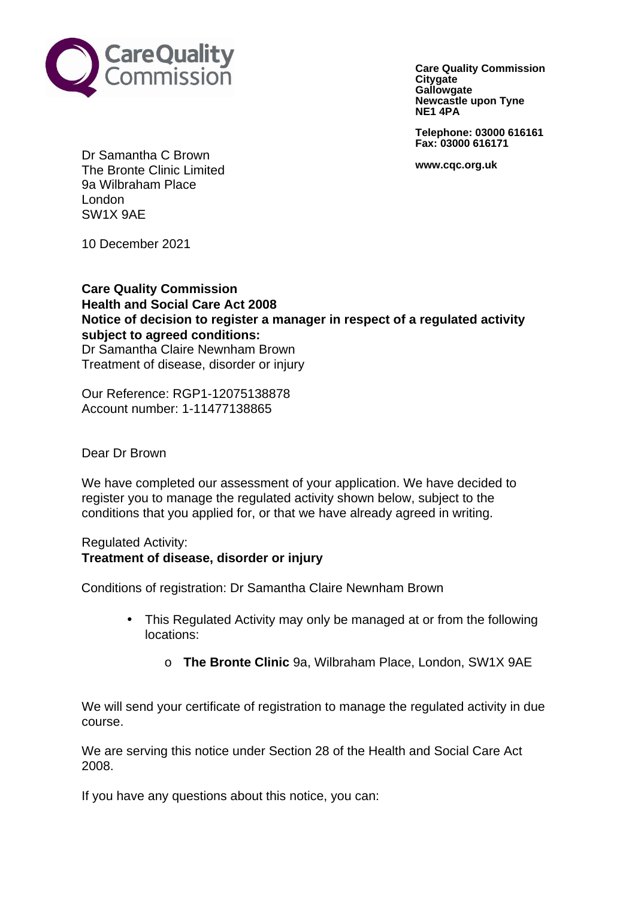

**Care Quality Commission Citygate Gallowgate Newcastle upon Tyne NE1 4PA**

**Telephone: 03000 616161 Fax: 03000 616171**

**www.cqc.org.uk**

Dr Samantha C Brown The Bronte Clinic Limited 9a Wilbraham Place London SW1X 9AE

10 December 2021

**Care Quality Commission Health and Social Care Act 2008 Notice of decision to register a manager in respect of a regulated activity subject to agreed conditions:** Dr Samantha Claire Newnham Brown Treatment of disease, disorder or injury

Our Reference: RGP1-12075138878 Account number: 1-11477138865

Dear Dr Brown

We have completed our assessment of your application. We have decided to register you to manage the regulated activity shown below, subject to the conditions that you applied for, or that we have already agreed in writing.

Regulated Activity: **Treatment of disease, disorder or injury**

Conditions of registration: Dr Samantha Claire Newnham Brown

- This Regulated Activity may only be managed at or from the following locations:
	- o **The Bronte Clinic** 9a, Wilbraham Place, London, SW1X 9AE

We will send your certificate of registration to manage the regulated activity in due course.

We are serving this notice under Section 28 of the Health and Social Care Act 2008.

If you have any questions about this notice, you can: